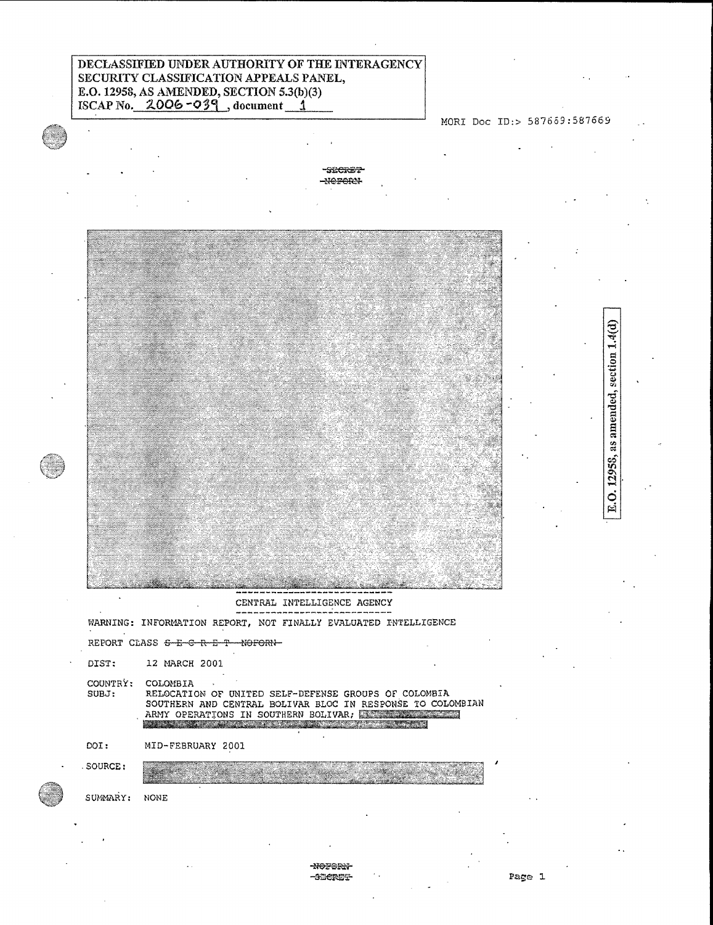# DECLASSIFIED UNDER AUTHORITY OT THE INTERAGENCY SECURITY CLASSIEFICATION APPEALS PANEL, E.O. 12958, AS AIMENDED, SECTION 5.3(b)(3) ISCAP No.  $2006 -039$ , document 1

## MORI Doc ID:> 587659:587669

E.O. 12958, as amended, section 1.4(d)

-SECRET  $-$ Neren $-$ 



REPORT CLASS  $\epsilon$ -E-C-R-E-T-NOFORN-

DIST: 12 MARCH 2001

COUNTRY: COLOMBIA

.SOURCE:

SUBJ: RELOCATION OF UNITED SELF-DEFENSE GROUPS OF COLOMBIA SOUTHERN AND CENTRAL BOLIVAR BLOC IN RESPONSE TO COLOMBIAN ARMY OPERATIONS IN SOUTHERN BOLIVAR; AND ARMY OPERATIONS IN SOUTHERN BOLIVAR;

DOI: MID-FEBRUARY 2001

SUMMARY: NONE

### -NOFORN--**SHEREE**

i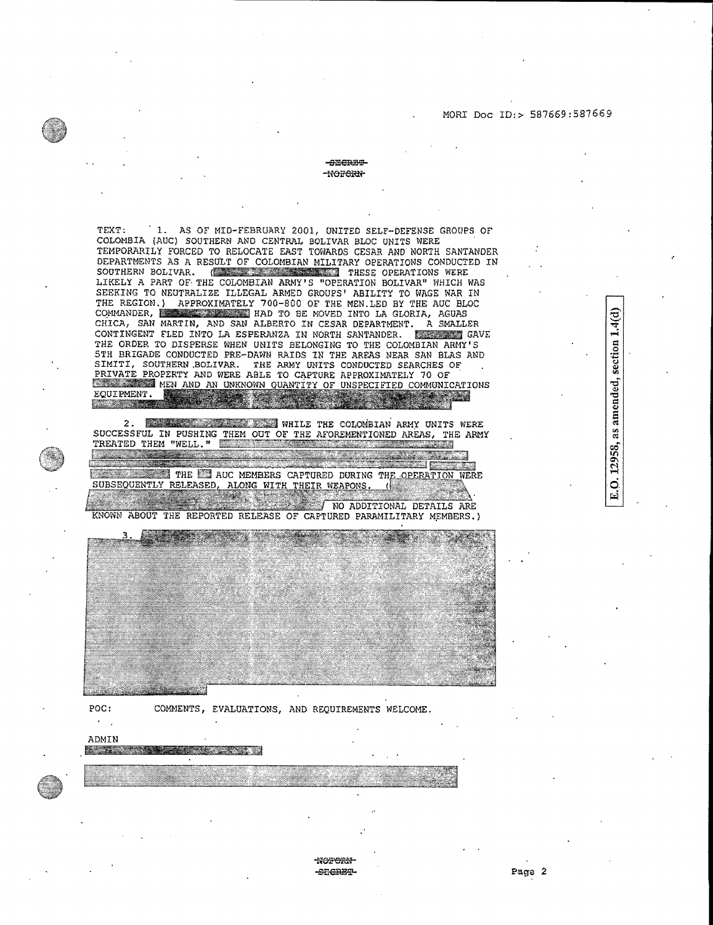### MORI Doc ID:> 587669:387669

12958, as amended, section  $1.4(d)$ 

 $\overline{a}$ 

#### -energy -HOTORN-

TEXT: 1. AS OF MID-FEBRUARY 2001, UNITED SELF-DEFENSE GROUPS OF COLOMBIA (AUC) SOUTHERN AND CENTRAL BOLIVAR BLOC UNITS WERE TEMPORARILY FORCED TO RELOCATE EAST TOWARDS CESAR AND NORTH SANTANDER DEPARTMENTS AS A RESULT OF COLOMBIAN MILITARY OPERATIONS CONDUCTED IN SOUTHERN BOLIVAR. (  $\overline{\phantom{a}}$ ,  $\overline{\phantom{a}}$ ,  $\overline{\phantom{a}}$ ,  $\overline{\phantom{a}}$ ,  $\overline{\phantom{a}}$ ,  $\overline{\phantom{a}}$  THESE OPERATIONS WERE LIKELY A PART OF, THE COLOMBIAN ARMY'S "OPERATION BOLIVAR" WHICH WAS SEEKING TO NEUTRALIZE ILLEGAL ARMED GROUPS' ABILITY TO WAGE WAR iN THE REGION.) APPROXIMATELY 700-800 OF THE MEN.LED BY THE AUC BLOC<br>COMMANDER, I was also the HAD TO BE MOVED INTO LA GLORIA, AGUAS CHICA, SAN MARTIN, AND SAN ALBERTO IN CESAR DEPARTMENT. A SMALLER CONTINGENT FLED INTO LA ESPERANZA IN NORTH SANTANDER. ELECTRICAVE THE ORDER TO DISPERSE WHEN UNITS BELONGING TO THE COLOMBIAN ARMY'S 5TH BRIGADE CONDUCTED PRE-DAWN RAIDS IN TAE AREAS NEAR SAN BLAS AND SIMITI, SOUTHERN.BOLIVAR. THE ARMY UNITS CONDUCTED SEARCHES OF PRIVATE PROPERTY AND WERE ABLE TO CAPTURE APPROXIMATELY 70 OF **AMEN AND AN UNKNOWN OUANTITY OF UNSPECIFIED COMMUNICATIONS** EQUIPMENT. EQUIPMENT.

2. **THE REAL PROPERTY OF A STATE OF A STATE OF A STATE AND THE COLOMBIAN ARMY UNITS WERE** SUCCESSFUL IN PUSHING THEM OUT OF THE AFOREMENTIONED AREAS, THE ARMY TREATED THEM "WELL." TREATED THEM "WELL."

<u> 1990 - James Barnett, politik politik (</u> E THE EN AUC MEMBERS CAPTURED DURING THE OPERATION WERE THE ET AUC MEMBERS CAPTURED DURING 1<br>SUBSEQUENTLY RELEASED, ALONG WITH THEIR WEAPONS.  $\mathbb{R}$ 

NO ADDITIONAL DETAILS ARE KNOWN ABOUT THE REPORTED RELEASE OF CAPTURED PARAMILITARY MEMBERS.)



'NO<del>F'ORN'</del>

POC: COMMENTS, EVALUATIONS, AND REQUIREMENTS WELCOME.

## $\epsilon$  . ADMIN

**Barbara Adama** and the complete of the complete state of the complete of the complete state of the complete of the complete o

- Page 2

n an coir an